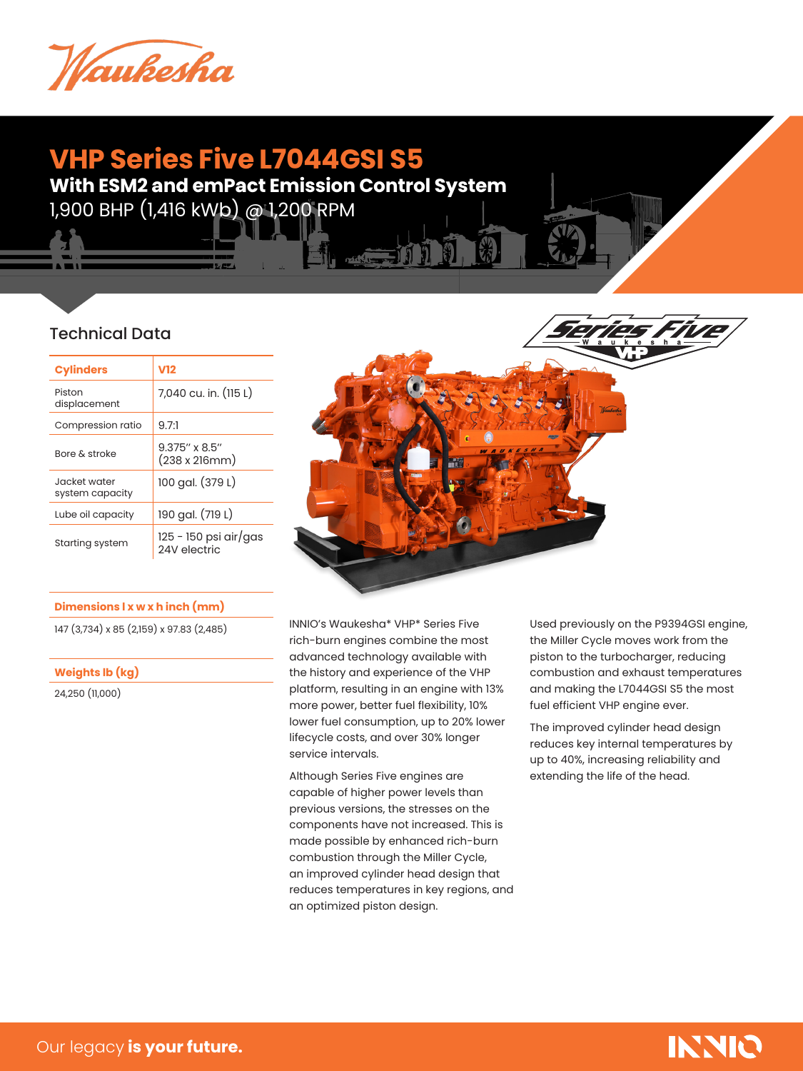

## **VHP Series Five L7044GSI S5**

**With ESM2 and emPact Emission Control System**

**The Contract of the Contract of the Contract of the Contract of the Contract of the Contract of the Contract o** 

1,900 BHP (1,416 kWb) @ 1,200 RPM

### Technical Data

| <b>Cylinders</b>                | V12                                   |  |
|---------------------------------|---------------------------------------|--|
| Piston<br>displacement          | 7,040 cu. in. (115 L)                 |  |
| Compression ratio               | 9.7:1                                 |  |
| <b>Bore &amp; stroke</b>        | $9.375''$ x $8.5''$<br>(238 x 216mm)  |  |
| Jacket water<br>system capacity | 100 gal. (379 L)                      |  |
| Lube oil capacity               | 190 gal. (719 L)                      |  |
| Starting system                 | 125 - 150 psi air/gas<br>24V electric |  |

#### **Dimensions l x w x h inch (mm)**

147 (3,734) x 85 (2,159) x 97.83 (2,485)

**Weights lb (kg)**

24,250 (11,000)



INNIO's Waukesha\* VHP\* Series Five rich-burn engines combine the most advanced technology available with the history and experience of the VHP platform, resulting in an engine with 13% more power, better fuel flexibility, 10% lower fuel consumption, up to 20% lower lifecycle costs, and over 30% longer service intervals.

Although Series Five engines are capable of higher power levels than previous versions, the stresses on the components have not increased. This is made possible by enhanced rich-burn combustion through the Miller Cycle, an improved cylinder head design that reduces temperatures in key regions, and an optimized piston design.

Used previously on the P9394GSI engine, the Miller Cycle moves work from the piston to the turbocharger, reducing combustion and exhaust temperatures and making the L7044GSI S5 the most fuel efficient VHP engine ever.

The improved cylinder head design reduces key internal temperatures by up to 40%, increasing reliability and extending the life of the head.

# **INNIQ**